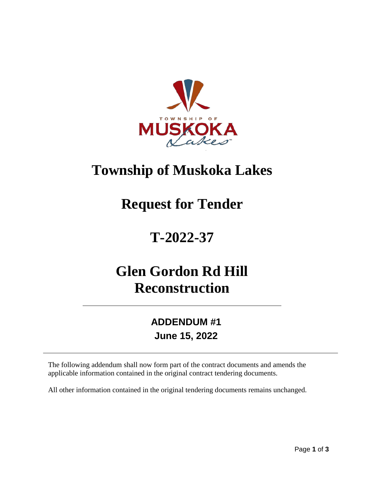

## **Township of Muskoka Lakes**

## **Request for Tender**

# **T-2022-37**

## **Glen Gordon Rd Hill Reconstruction**

### **ADDENDUM #1 June 15, 2022**

The following addendum shall now form part of the contract documents and amends the applicable information contained in the original contract tendering documents.

All other information contained in the original tendering documents remains unchanged.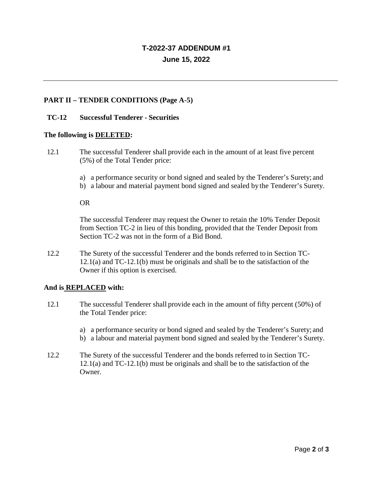### **T-2022-37 ADDENDUM #1 June 15, 2022**

#### **PART II – TENDER CONDITIONS (Page A-5)**

#### **TC-12 Successful Tenderer - Securities**

#### **The following is DELETED:**

- 12.1 The successful Tenderer shall provide each in the amount of at least five percent (5%) of the Total Tender price:
	- a) a performance security or bond signed and sealed by the Tenderer's Surety; and
	- b) a labour and material payment bond signed and sealed bythe Tenderer's Surety.

OR

The successful Tenderer may request the Owner to retain the 10% Tender Deposit from Section TC-2 in lieu of this bonding, provided that the Tender Deposit from Section TC-2 was not in the form of a Bid Bond.

12.2 The Surety of the successful Tenderer and the bonds referred to in Section TC-12.1(a) and TC-12.1(b) must be originals and shall be to the satisfaction of the Owner if this option is exercised.

#### **And is REPLACED with:**

- 12.1 The successful Tenderer shall provide each in the amount of fifty percent (50%) of the Total Tender price:
	- a) a performance security or bond signed and sealed by the Tenderer's Surety; and
	- b) a labour and material payment bond signed and sealed bythe Tenderer's Surety.
- 12.2 The Surety of the successful Tenderer and the bonds referred to in Section TC-12.1(a) and TC-12.1(b) must be originals and shall be to the satisfaction of the Owner.